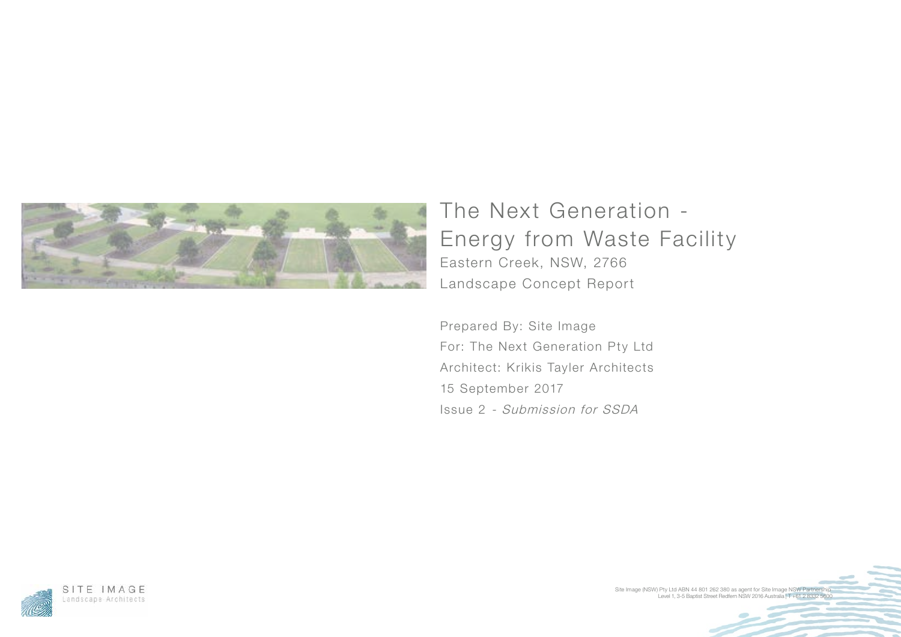Level 1, 3-5 Baptist Street Redfern NSW 2016 Australia | T +61 2 8332 5600 Site Image (NSW) Pty Ltd ABN 44 801 262 380 as agent for Site Image NSW Partnership



## The Next Generation - Energy from Waste Facility Eastern Creek, NSW, 2766 Landscape Concept Report

Prepared By: Site Image For: The Next Generation Pty Ltd Architect: Krikis Tayler Architects 15 September 2017 Issue 2 - Submission for SSDA

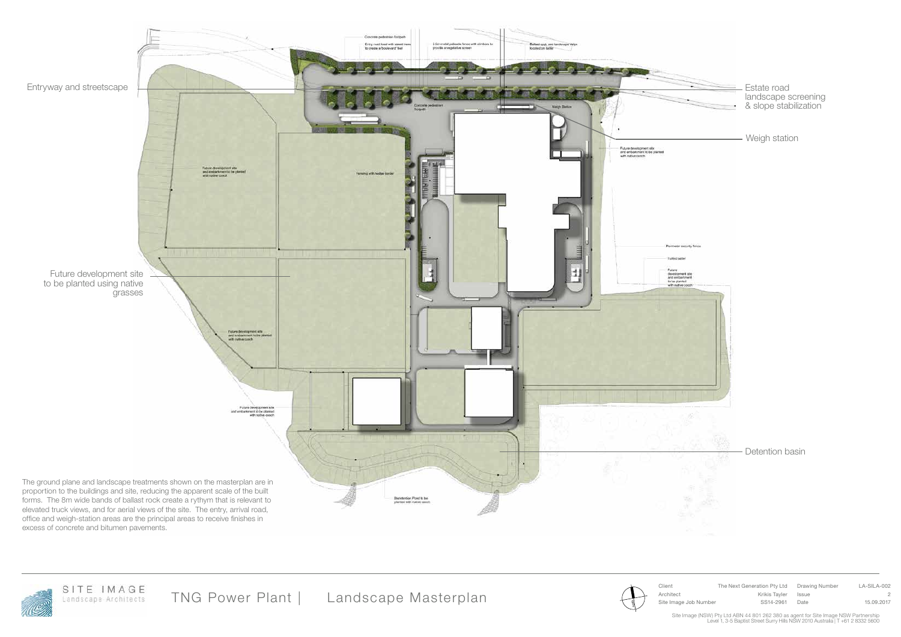Client The Next Generation Pty Ltd Drawing Number LA-SILA-002 Architect Krikis Tayler Issue 2

 $\frac{2}{3}$  / Site Image Job Number SS14-2961 Date 15.09.2017

Site Image (NSW) Pty Ltd ABN 44 801 262 380 as agent for Site Image NSW Partnership<br>Level 1, 3-5 Baptist Street Surry Hills NSW 2010 Australia | T +61 2 8332 5600

TNG Power Plant | Landscape Masterplan



Weigh station

Detention basin



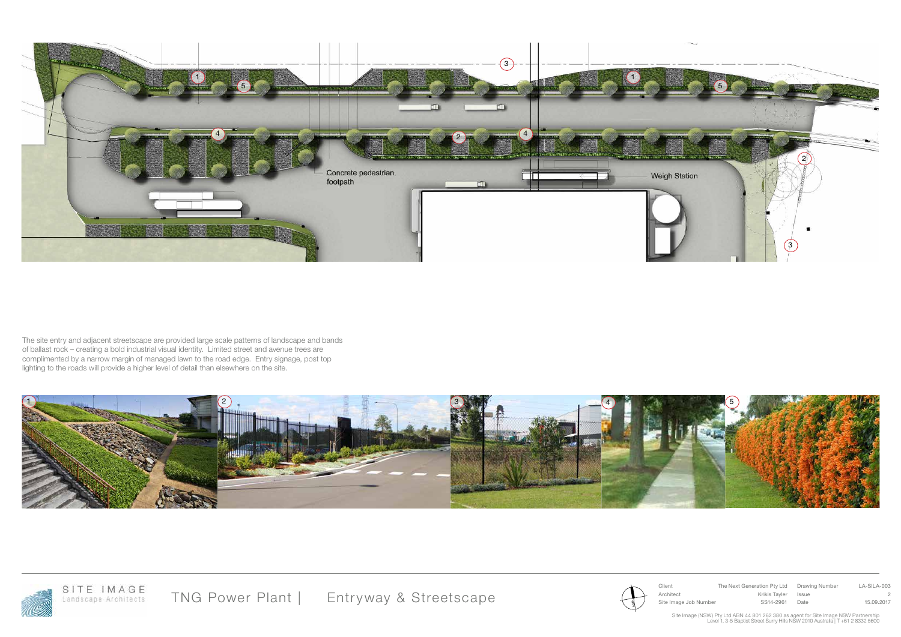Client The Next Generation Pty Ltd Drawing Number LA-SILA-003 Architect Krikis Tayler Issue 2  $\frac{2}{3}$  / Site Image Job Number SS14-2961 Date 15.09.2017

Site Image (NSW) Pty Ltd ABN 44 801 262 380 as agent for Site Image NSW Partnership<br>Level 1, 3-5 Baptist Street Surry Hills NSW 2010 Australia | T +61 2 8332 5600









The site entry and adjacent streetscape are provided large scale patterns of landscape and bands of ballast rock – creating a bold industrial visual identity. Limited street and avenue trees are complimented by a narrow margin of managed lawn to the road edge. Entry signage, post top lighting to the roads will provide a higher level of detail than elsewhere on the site.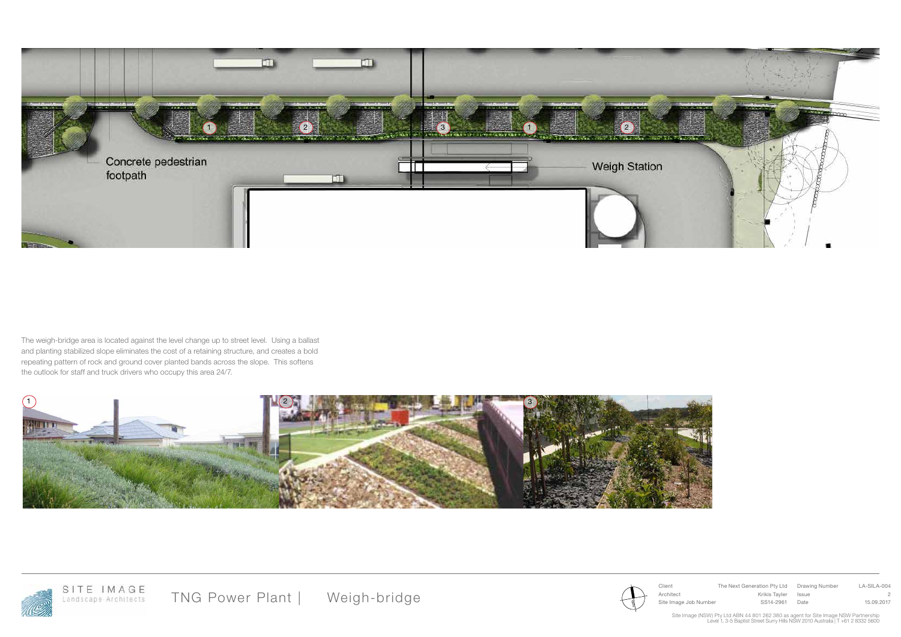Client The Next Generation Pty Ltd Drawing Number LA-SILA-004 Architect Krikis Tayler Issue 2  $\frac{2}{3}$  / Site Image Job Number SS14-2961 Date 15.09.2017

Site Image (NSW) Pty Ltd ABN 44 801 262 380 as agent for Site Image NSW Partnership<br>Level 1, 3-5 Baptist Street Surry Hills NSW 2010 Australia | T +61 2 8332 5600



The weigh-bridge area is located against the level change up to street level. Using a ballast and planting stabilized slope eliminates the cost of a retaining structure, and creates a bold repeating pattern of rock and ground cover planted bands across the slope. This softens the outlook for staff and truck drivers who occupy this area 24/7.





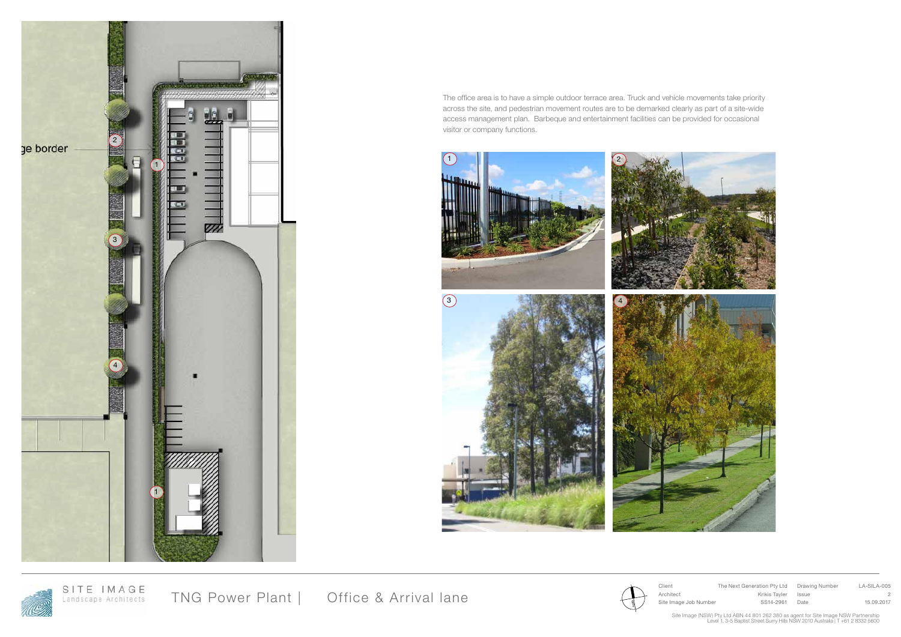Client The Next Generation Pty Ltd Drawing Number LA-SILA-005 Architect Krikis Tayler Issue 2  $\frac{2}{3}$  / Site Image Job Number SS14-2961 Date 15.09.2017

Site Image (NSW) Pty Ltd ABN 44 801 262 380 as agent for Site Image NSW Partnership<br>Level 1, 3-5 Baptist Street Surry Hills NSW 2010 Australia | T +61 2 8332 5600

TNG Power Plant | Office & Arrival lane



The office area is to have a simple outdoor terrace area. Truck and vehicle movements take priority across the site, and pedestrian movement routes are to be demarked clearly as part of a site-wide access management plan. Barbeque and entertainment facilities can be provided for occasional visitor or company functions.